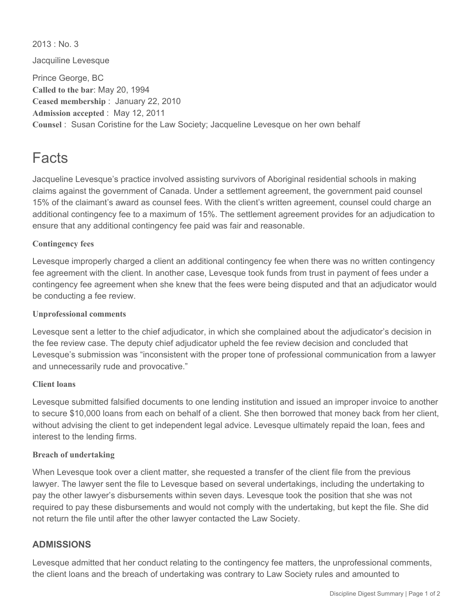$2013 \cdot$  No. 3

Jacquiline Levesque

Prince George, BC **Called to the bar**: May 20, 1994 **Ceased membership** : January 22, 2010 **Admission accepted** : May 12, 2011 **Counsel** : Susan Coristine for the Law Society; Jacqueline Levesque on her own behalf

# Facts

Jacqueline Levesque's practice involved assisting survivors of Aboriginal residential schools in making claims against the government of Canada. Under a settlement agreement, the government paid counsel 15% of the claimant's award as counsel fees. With the client's written agreement, counsel could charge an additional contingency fee to a maximum of 15%. The settlement agreement provides for an adjudication to ensure that any additional contingency fee paid was fair and reasonable.

### **Contingency fees**

Levesque improperly charged a client an additional contingency fee when there was no written contingency fee agreement with the client. In another case, Levesque took funds from trust in payment of fees under a contingency fee agreement when she knew that the fees were being disputed and that an adjudicator would be conducting a fee review.

### **Unprofessional comments**

Levesque sent a letter to the chief adjudicator, in which she complained about the adjudicator's decision in the fee review case. The deputy chief adjudicator upheld the fee review decision and concluded that Levesque's submission was "inconsistent with the proper tone of professional communication from a lawyer and unnecessarily rude and provocative."

### **Client loans**

Levesque submitted falsified documents to one lending institution and issued an improper invoice to another to secure \$10,000 loans from each on behalf of a client. She then borrowed that money back from her client, without advising the client to get independent legal advice. Levesque ultimately repaid the loan, fees and interest to the lending firms.

### **Breach of undertaking**

When Levesque took over a client matter, she requested a transfer of the client file from the previous lawyer. The lawyer sent the file to Levesque based on several undertakings, including the undertaking to pay the other lawyer's disbursements within seven days. Levesque took the position that she was not required to pay these disbursements and would not comply with the undertaking, but kept the file. She did not return the file until after the other lawyer contacted the Law Society.

### **ADMISSIONS**

Levesque admitted that her conduct relating to the contingency fee matters, the unprofessional comments, the client loans and the breach of undertaking was contrary to Law Society rules and amounted to